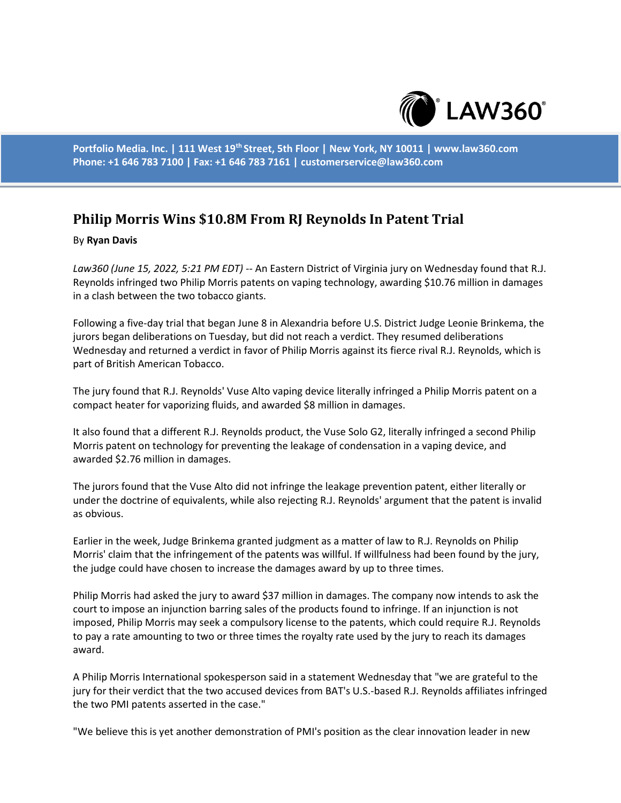

**Portfolio Media. Inc. | 111 West 19th Street, 5th Floor | New York, NY 10011 | www.law360.com Phone: +1 646 783 7100 | Fax: +1 646 783 7161 | customerservice@law360.com**

## **Philip Morris Wins \$10.8M From RJ Reynolds In Patent Trial**

## By **Ryan Davis**

*Law360 (June 15, 2022, 5:21 PM EDT)* -- An Eastern District of Virginia jury on Wednesday found that R.J. Reynolds infringed two Philip Morris patents on vaping technology, awarding \$10.76 million in damages in a clash between the two tobacco giants.

Following a five-day trial that began June 8 in Alexandria before U.S. District Judge Leonie Brinkema, the jurors began deliberations on Tuesday, but did not reach a verdict. They resumed deliberations Wednesday and returned a verdict in favor of Philip Morris against its fierce rival R.J. Reynolds, which is part of British American Tobacco.

The jury found that R.J. Reynolds' Vuse Alto vaping device literally infringed a Philip Morris patent on a compact heater for vaporizing fluids, and awarded \$8 million in damages.

It also found that a different R.J. Reynolds product, the Vuse Solo G2, literally infringed a second Philip Morris patent on technology for preventing the leakage of condensation in a vaping device, and awarded \$2.76 million in damages.

The jurors found that the Vuse Alto did not infringe the leakage prevention patent, either literally or under the doctrine of equivalents, while also rejecting R.J. Reynolds' argument that the patent is invalid as obvious.

Earlier in the week, Judge Brinkema granted judgment as a matter of law to R.J. Reynolds on Philip Morris' claim that the infringement of the patents was willful. If willfulness had been found by the jury, the judge could have chosen to increase the damages award by up to three times.

Philip Morris had asked the jury to award \$37 million in damages. The company now intends to ask the court to impose an injunction barring sales of the products found to infringe. If an injunction is not imposed, Philip Morris may seek a compulsory license to the patents, which could require R.J. Reynolds to pay a rate amounting to two or three times the royalty rate used by the jury to reach its damages award.

A Philip Morris International spokesperson said in a statement Wednesday that "we are grateful to the jury for their verdict that the two accused devices from BAT's U.S.-based R.J. Reynolds affiliates infringed the two PMI patents asserted in the case."

"We believe this is yet another demonstration of PMI's position as the clear innovation leader in new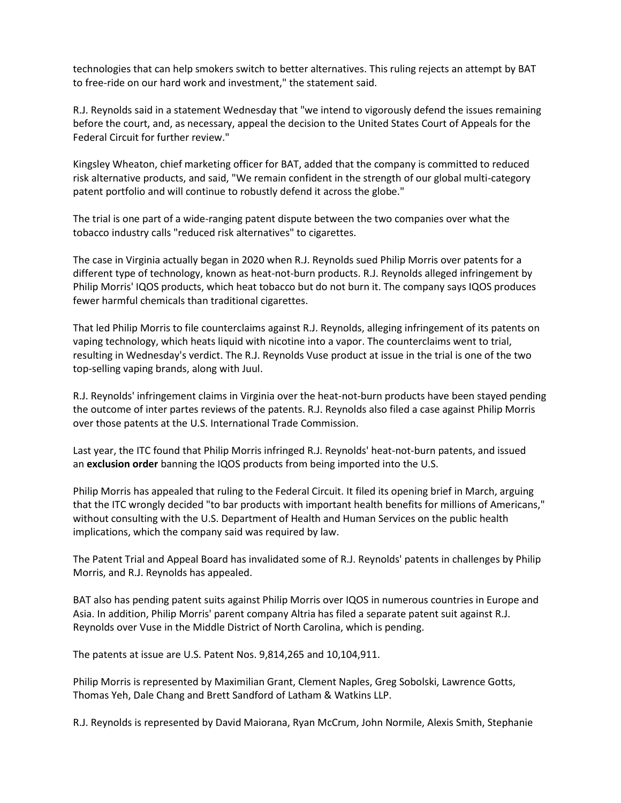technologies that can help smokers switch to better alternatives. This ruling rejects an attempt by BAT to free-ride on our hard work and investment," the statement said.

R.J. Reynolds said in a statement Wednesday that "we intend to vigorously defend the issues remaining before the court, and, as necessary, appeal the decision to the United States Court of Appeals for the Federal Circuit for further review."

Kingsley Wheaton, chief marketing officer for BAT, added that the company is committed to reduced risk alternative products, and said, "We remain confident in the strength of our global multi-category patent portfolio and will continue to robustly defend it across the globe."

The trial is one part of a wide-ranging patent dispute between the two companies over what the tobacco industry calls "reduced risk alternatives" to cigarettes.

The case in Virginia actually began in 2020 when R.J. Reynolds sued Philip Morris over patents for a different type of technology, known as heat-not-burn products. R.J. Reynolds alleged infringement by Philip Morris' IQOS products, which heat tobacco but do not burn it. The company says IQOS produces fewer harmful chemicals than traditional cigarettes.

That led Philip Morris to file counterclaims against R.J. Reynolds, alleging infringement of its patents on vaping technology, which heats liquid with nicotine into a vapor. The counterclaims went to trial, resulting in Wednesday's verdict. The R.J. Reynolds Vuse product at issue in the trial is one of the two top-selling vaping brands, along with Juul.

R.J. Reynolds' infringement claims in Virginia over the heat-not-burn products have been stayed pending the outcome of inter partes reviews of the patents. R.J. Reynolds also filed a case against Philip Morris over those patents at the U.S. International Trade Commission.

Last year, the ITC found that Philip Morris infringed R.J. Reynolds' heat-not-burn patents, and issued an **exclusion order** banning the IQOS products from being imported into the U.S.

Philip Morris has appealed that ruling to the Federal Circuit. It filed its opening brief in March, arguing that the ITC wrongly decided "to bar products with important health benefits for millions of Americans," without consulting with the U.S. Department of Health and Human Services on the public health implications, which the company said was required by law.

The Patent Trial and Appeal Board has invalidated some of R.J. Reynolds' patents in challenges by Philip Morris, and R.J. Reynolds has appealed.

BAT also has pending patent suits against Philip Morris over IQOS in numerous countries in Europe and Asia. In addition, Philip Morris' parent company Altria has filed a separate patent suit against R.J. Reynolds over Vuse in the Middle District of North Carolina, which is pending.

The patents at issue are U.S. Patent Nos. 9,814,265 and 10,104,911.

Philip Morris is represented by Maximilian Grant, Clement Naples, Greg Sobolski, Lawrence Gotts, Thomas Yeh, Dale Chang and Brett Sandford of Latham & Watkins LLP.

R.J. Reynolds is represented by David Maiorana, Ryan McCrum, John Normile, Alexis Smith, Stephanie